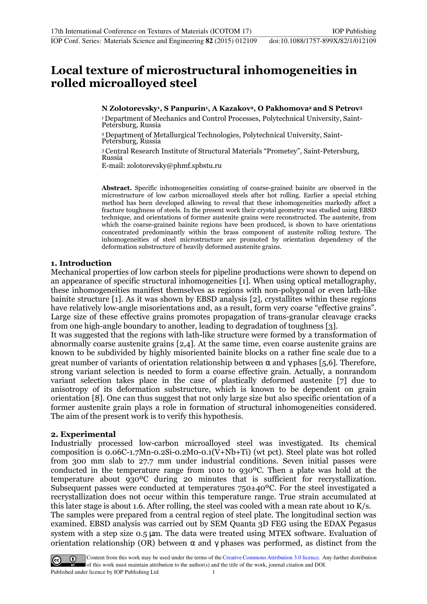# **Local texture of microstructural inhomogeneities in rolled microalloyed steel**

## **N Zolotorevsky<sup>1</sup> , S Panpurin<sup>1</sup> , A Kazakov2, O Pakhomova2 and S Petrov<sup>3</sup>**

1 Department of Mechanics and Control Processes, Polytechnical University, Saint-Petersburg, Russia

2 Department of Metallurgical Technologies, Polytechnical University, Saint-Petersburg, Russia

<sup>3</sup>Central Research Institute of Structural Materials "Prometey", Saint-Petersburg, Russia

E-mail: zolotorevsky@phmf.spbstu.ru

**Abstract.** Specific inhomogeneities consisting of coarse-grained bainite are observed in the microstructure of low carbon microalloyed steels after hot rolling. Earlier a special etching method has been developed allowing to reveal that these inhomogeneities markedly affect a fracture toughness of steels. In the present work their crystal geometry was studied using EBSD technique, and orientations of former austenite grains were reconstructed. The austenite, from which the coarse-grained bainite regions have been produced, is shown to have orientations concentrated predominantly within the brass component of austenite rolling texture. The inhomogeneities of steel microstructure are promoted by orientation dependency of the deformation substructure of heavily deformed austenite grains.

## **1. Introduction**

Mechanical properties of low carbon steels for pipeline productions were shown to depend on an appearance of specific structural inhomogeneities [1]. When using optical metallography, these inhomogeneities manifest themselves as regions with non-polygonal or even lath-like bainite structure [1]. As it was shown by EBSD analysis [2], crystallites within these regions have relatively low-angle misorientations and, as a result, form very coarse "effective grains". Large size of these effective grains promotes propagation of trans-granular cleavage cracks from one high-angle boundary to another, leading to degradation of toughness [3].

It was suggested that the regions with lath-like structure were formed by a transformation of abnormally coarse austenite grains [2,4]. At the same time, even coarse austenite grains are known to be subdivided by highly misoriented bainite blocks on a rather fine scale due to a great number of variants of orientation relationship between  $\alpha$  and  $\gamma$  phases [5,6]. Therefore, strong variant selection is needed to form a coarse effective grain. Actually, a nonrandom variant selection takes place in the case of plastically deformed austenite [7] due to anisotropy of its deformation substructure, which is known to be dependent on grain orientation [8]. One can thus suggest that not only large size but also specific orientation of a former austenite grain plays a role in formation of structural inhomogeneities considered. The aim of the present work is to verify this hypothesis.

# **2. Experimental**

Industrially processed low-carbon microalloyed steel was investigated. Its chemical composition is 0.06C-1.7Mn-0.2Si-0.2M0-0.1(V+Nb+Ti) (wt pct). Steel plate was hot rolled from 300 mm slab to 27.7 mm under industrial conditions. Seven initial passes were conducted in the temperature range from 1010 to 930ºC. Then a plate was hold at the temperature about 930ºC during 20 minutes that is sufficient for recrystallization. Subsequent passes were conducted at temperatures 750±40ºC. For the steel investigated a recrystallization does not occur within this temperature range. True strain accumulated at this later stage is about 1.6. After rolling, the steel was cooled with a mean rate about 10 K/s. The samples were prepared from a central region of steel plate. The longitudinal section was examined. EBSD analysis was carried out by SEM Quanta 3D FEG using the EDAX Pegasus system with a step size 0.5 µm. The data were treated using MTEX software. Evaluation of orientation relationship (OR) between  $\alpha$  and  $\gamma$  phases was performed, as distinct from the

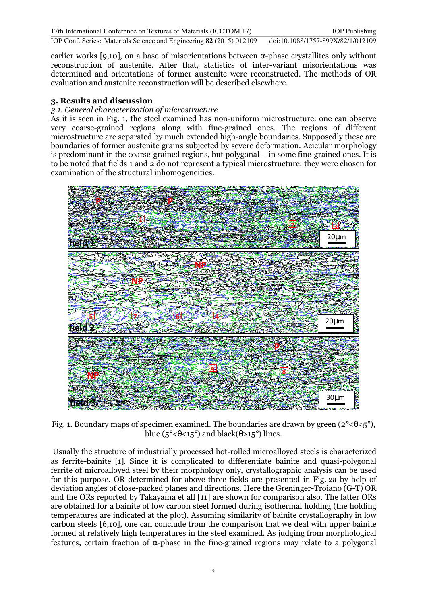IOP Conf. Series: Materials Science and Engineering **82** (2015) 012109 doi:10.1088/1757-899X/82/1/012109

earlier works [9,10], on a base of misorientations between  $\alpha$ -phase crystallites only without reconstruction of austenite. After that, statistics of inter-variant misorientations was determined and orientations of former austenite were reconstructed. The methods of OR evaluation and austenite reconstruction will be described elsewhere.

# **3. Results and discussion**

# *3.1. General characterization of microstructure*

As it is seen in Fig. 1, the steel examined has non-uniform microstructure: one can observe very coarse-grained regions along with fine-grained ones. The regions of different microstructure are separated by much extended high-angle boundaries. Supposedly these are boundaries of former austenite grains subjected by severe deformation. Acicular morphology is predominant in the coarse-grained regions, but polygonal – in some fine-grained ones. It is to be noted that fields 1 and 2 do not represent a typical microstructure: they were chosen for examination of the structural inhomogeneities.



Fig. 1. Boundary maps of specimen examined. The boundaries are drawn by green  $(2^{\circ} < \theta < 5^{\circ})$ , blue ( $5^{\circ}$ < $\theta$ < $15^{\circ}$ ) and black( $\theta$ > $15^{\circ}$ ) lines.

 Usually the structure of industrially processed hot-rolled microalloyed steels is characterized as ferrite-bainite [1]. Since it is complicated to differentiate bainite and quasi-polygonal ferrite of microalloyed steel by their morphology only, crystallographic analysis can be used for this purpose. OR determined for above three fields are presented in Fig. 2a by help of deviation angles of close-packed planes and directions. Here the Greninger-Troiano (G-T) OR and the ORs reported by Takayama et all [11] are shown for comparison also. The latter ORs are obtained for a bainite of low carbon steel formed during isothermal holding (the holding temperatures are indicated at the plot). Assuming similarity of bainite crystallography in low carbon steels [6,10], one can conclude from the comparison that we deal with upper bainite formed at relatively high temperatures in the steel examined. As judging from morphological features, certain fraction of α-phase in the fine-grained regions may relate to a polygonal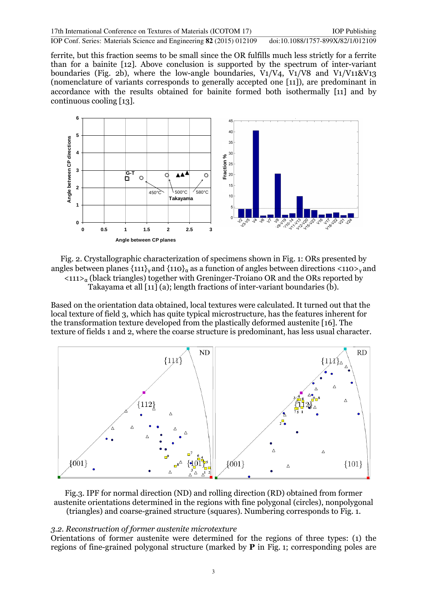IOP Conf. Series: Materials Science and Engineering **82** (2015) 012109 doi:10.1088/1757-899X/82/1/012109

ferrite, but this fraction seems to be small since the OR fulfills much less strictly for a ferrite than for a bainite [12]. Above conclusion is supported by the spectrum of inter-variant boundaries (Fig. 2b), where the low-angle boundaries, V1/V4, V1/V8 and V1/V11&V13 (nomenclature of variants corresponds to generally accepted one [11]), are predominant in accordance with the results obtained for bainite formed both isothermally [11] and by continuous cooling [13].



Fig. 2. Crystallographic characterization of specimens shown in Fig. 1: ORs presented by angles between planes  $\{111\}$ <sub>γ</sub> and  $\{110\}$ <sub>α</sub> as a function of angles between directions <110><sub>γ</sub> and  $\langle 111 \rangle_{\alpha}$  (black triangles) together with Greninger-Troiano OR and the ORs reported by Takayama et all  $\overline{111}(a)$ ; length fractions of inter-variant boundaries  $\overline{10}$ ).

Based on the orientation data obtained, local textures were calculated. It turned out that the local texture of field 3, which has quite typical microstructure, has the features inherent for the transformation texture developed from the plastically deformed austenite [16]. The texture of fields 1 and 2, where the coarse structure is predominant, has less usual character.



Fig.3. IPF for normal direction (ND) and rolling direction (RD) obtained from former austenite orientations determined in the regions with fine polygonal (circles), nonpolygonal (triangles) and coarse-grained structure (squares). Numbering corresponds to Fig. 1.

#### *3.2. Reconstruction of former austenite microtexture*

Orientations of former austenite were determined for the regions of three types: (1) the regions of fine-grained polygonal structure (marked by  $P$  in Fig. 1; corresponding poles are